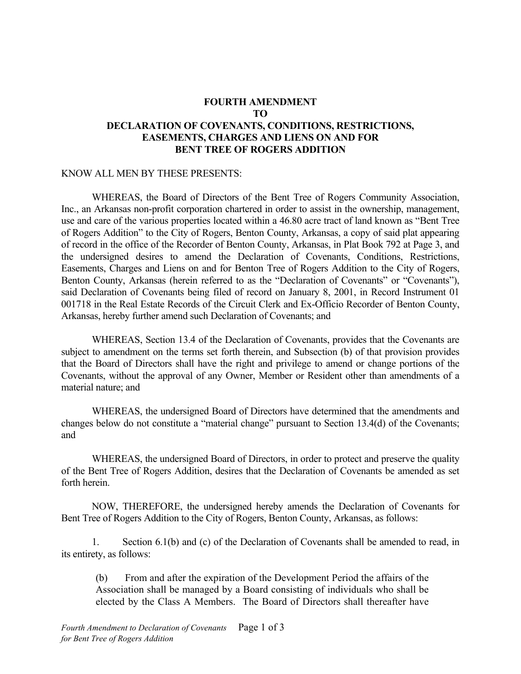## **FOURTH AMENDMENT TO DECLARATION OF COVENANTS, CONDITIONS, RESTRICTIONS, EASEMENTS, CHARGES AND LIENS ON AND FOR BENT TREE OF ROGERS ADDITION**

## KNOW ALL MEN BY THESE PRESENTS:

 WHEREAS, the Board of Directors of the Bent Tree of Rogers Community Association, Inc., an Arkansas non-profit corporation chartered in order to assist in the ownership, management, use and care of the various properties located within a 46.80 acre tract of land known as "Bent Tree of Rogers Addition" to the City of Rogers, Benton County, Arkansas, a copy of said plat appearing of record in the office of the Recorder of Benton County, Arkansas, in Plat Book 792 at Page 3, and the undersigned desires to amend the Declaration of Covenants, Conditions, Restrictions, Easements, Charges and Liens on and for Benton Tree of Rogers Addition to the City of Rogers, Benton County, Arkansas (herein referred to as the "Declaration of Covenants" or "Covenants"), said Declaration of Covenants being filed of record on January 8, 2001, in Record Instrument 01 001718 in the Real Estate Records of the Circuit Clerk and Ex-Officio Recorder of Benton County, Arkansas, hereby further amend such Declaration of Covenants; and

 WHEREAS, Section 13.4 of the Declaration of Covenants, provides that the Covenants are subject to amendment on the terms set forth therein, and Subsection (b) of that provision provides that the Board of Directors shall have the right and privilege to amend or change portions of the Covenants, without the approval of any Owner, Member or Resident other than amendments of a material nature; and

 WHEREAS, the undersigned Board of Directors have determined that the amendments and changes below do not constitute a "material change" pursuant to Section 13.4(d) of the Covenants; and

 WHEREAS, the undersigned Board of Directors, in order to protect and preserve the quality of the Bent Tree of Rogers Addition, desires that the Declaration of Covenants be amended as set forth herein.

 NOW, THEREFORE, the undersigned hereby amends the Declaration of Covenants for Bent Tree of Rogers Addition to the City of Rogers, Benton County, Arkansas, as follows:

1. Section 6.1(b) and (c) of the Declaration of Covenants shall be amended to read, in its entirety, as follows:

(b) From and after the expiration of the Development Period the affairs of the Association shall be managed by a Board consisting of individuals who shall be elected by the Class A Members. The Board of Directors shall thereafter have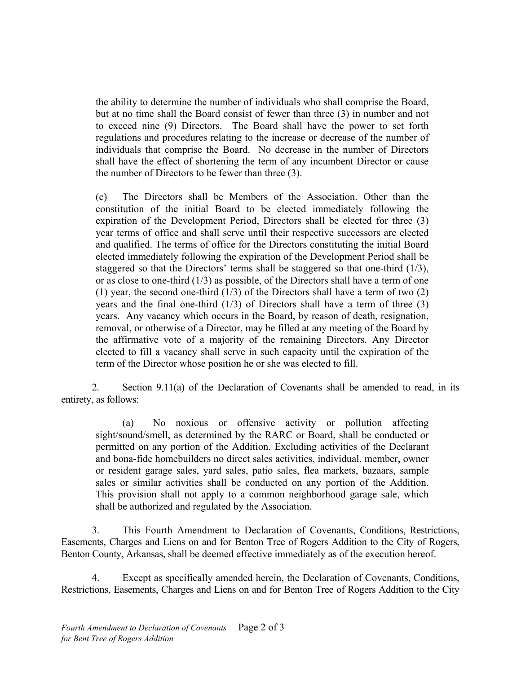the ability to determine the number of individuals who shall comprise the Board, but at no time shall the Board consist of fewer than three (3) in number and not to exceed nine (9) Directors. The Board shall have the power to set forth regulations and procedures relating to the increase or decrease of the number of individuals that comprise the Board. No decrease in the number of Directors shall have the effect of shortening the term of any incumbent Director or cause the number of Directors to be fewer than three (3).

(c) The Directors shall be Members of the Association. Other than the constitution of the initial Board to be elected immediately following the expiration of the Development Period, Directors shall be elected for three (3) year terms of office and shall serve until their respective successors are elected and qualified. The terms of office for the Directors constituting the initial Board elected immediately following the expiration of the Development Period shall be staggered so that the Directors' terms shall be staggered so that one-third (1/3), or as close to one-third (1/3) as possible, of the Directors shall have a term of one (1) year, the second one-third  $(1/3)$  of the Directors shall have a term of two  $(2)$ years and the final one-third  $(1/3)$  of Directors shall have a term of three  $(3)$ years. Any vacancy which occurs in the Board, by reason of death, resignation, removal, or otherwise of a Director, may be filled at any meeting of the Board by the affirmative vote of a majority of the remaining Directors. Any Director elected to fill a vacancy shall serve in such capacity until the expiration of the term of the Director whose position he or she was elected to fill.

2. Section 9.11(a) of the Declaration of Covenants shall be amended to read, in its entirety, as follows:

(a) No noxious or offensive activity or pollution affecting sight/sound/smell, as determined by the RARC or Board, shall be conducted or permitted on any portion of the Addition. Excluding activities of the Declarant and bona-fide homebuilders no direct sales activities, individual, member, owner or resident garage sales, yard sales, patio sales, flea markets, bazaars, sample sales or similar activities shall be conducted on any portion of the Addition. This provision shall not apply to a common neighborhood garage sale, which shall be authorized and regulated by the Association.

3. This Fourth Amendment to Declaration of Covenants, Conditions, Restrictions, Easements, Charges and Liens on and for Benton Tree of Rogers Addition to the City of Rogers, Benton County, Arkansas, shall be deemed effective immediately as of the execution hereof.

4. Except as specifically amended herein, the Declaration of Covenants, Conditions, Restrictions, Easements, Charges and Liens on and for Benton Tree of Rogers Addition to the City